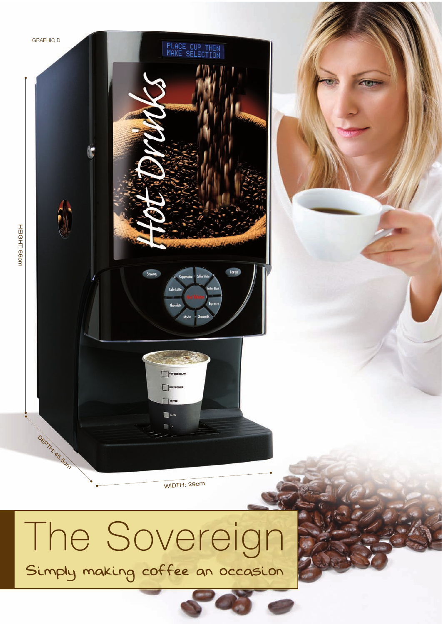

# Simply making coffee an occasion The Sovereign